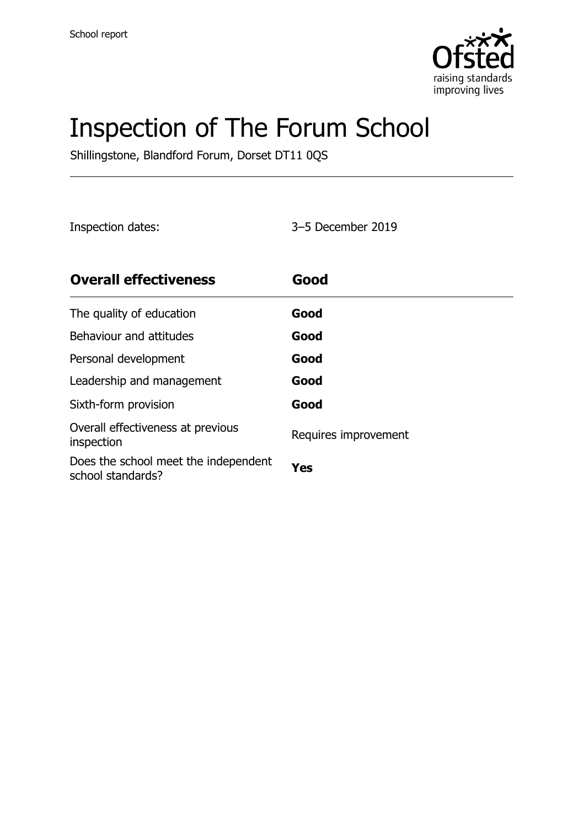

# Inspection of The Forum School

Shillingstone, Blandford Forum, Dorset DT11 0QS

Inspection dates: 3–5 December 2019

| <b>Overall effectiveness</b>                              | Good                 |
|-----------------------------------------------------------|----------------------|
| The quality of education                                  | Good                 |
| Behaviour and attitudes                                   | Good                 |
| Personal development                                      | Good                 |
| Leadership and management                                 | Good                 |
| Sixth-form provision                                      | Good                 |
| Overall effectiveness at previous<br>inspection           | Requires improvement |
| Does the school meet the independent<br>school standards? | Yes                  |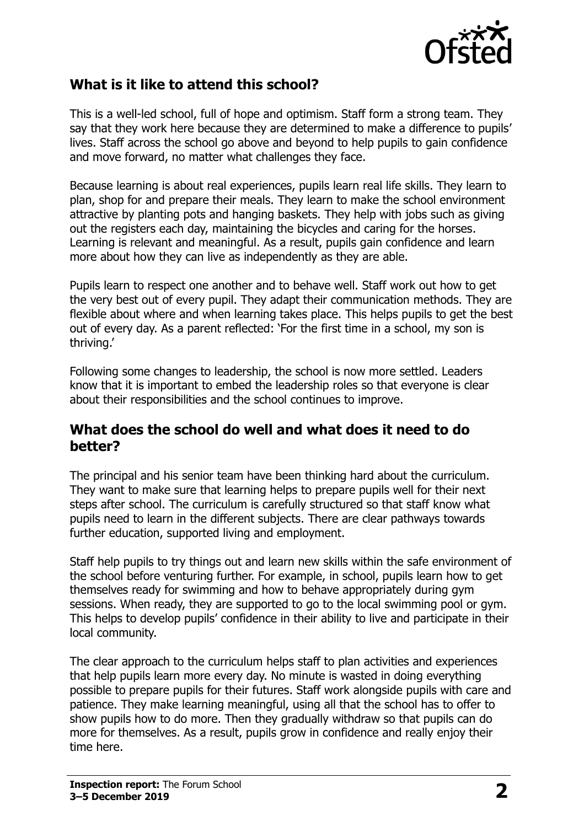

#### **What is it like to attend this school?**

This is a well-led school, full of hope and optimism. Staff form a strong team. They say that they work here because they are determined to make a difference to pupils' lives. Staff across the school go above and beyond to help pupils to gain confidence and move forward, no matter what challenges they face.

Because learning is about real experiences, pupils learn real life skills. They learn to plan, shop for and prepare their meals. They learn to make the school environment attractive by planting pots and hanging baskets. They help with jobs such as giving out the registers each day, maintaining the bicycles and caring for the horses. Learning is relevant and meaningful. As a result, pupils gain confidence and learn more about how they can live as independently as they are able.

Pupils learn to respect one another and to behave well. Staff work out how to get the very best out of every pupil. They adapt their communication methods. They are flexible about where and when learning takes place. This helps pupils to get the best out of every day. As a parent reflected: 'For the first time in a school, my son is thriving.'

Following some changes to leadership, the school is now more settled. Leaders know that it is important to embed the leadership roles so that everyone is clear about their responsibilities and the school continues to improve.

#### **What does the school do well and what does it need to do better?**

The principal and his senior team have been thinking hard about the curriculum. They want to make sure that learning helps to prepare pupils well for their next steps after school. The curriculum is carefully structured so that staff know what pupils need to learn in the different subjects. There are clear pathways towards further education, supported living and employment.

Staff help pupils to try things out and learn new skills within the safe environment of the school before venturing further. For example, in school, pupils learn how to get themselves ready for swimming and how to behave appropriately during gym sessions. When ready, they are supported to go to the local swimming pool or gym. This helps to develop pupils' confidence in their ability to live and participate in their local community.

The clear approach to the curriculum helps staff to plan activities and experiences that help pupils learn more every day. No minute is wasted in doing everything possible to prepare pupils for their futures. Staff work alongside pupils with care and patience. They make learning meaningful, using all that the school has to offer to show pupils how to do more. Then they gradually withdraw so that pupils can do more for themselves. As a result, pupils grow in confidence and really enjoy their time here.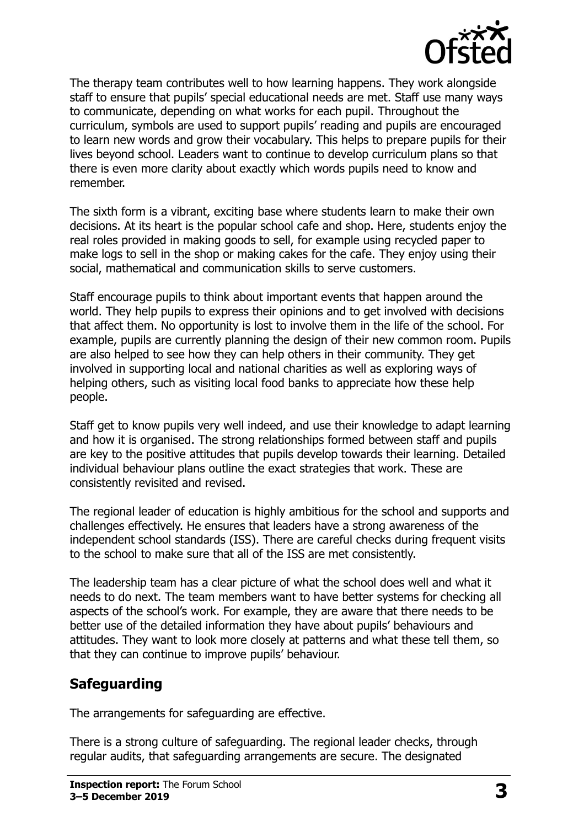

The therapy team contributes well to how learning happens. They work alongside staff to ensure that pupils' special educational needs are met. Staff use many ways to communicate, depending on what works for each pupil. Throughout the curriculum, symbols are used to support pupils' reading and pupils are encouraged to learn new words and grow their vocabulary. This helps to prepare pupils for their lives beyond school. Leaders want to continue to develop curriculum plans so that there is even more clarity about exactly which words pupils need to know and remember.

The sixth form is a vibrant, exciting base where students learn to make their own decisions. At its heart is the popular school cafe and shop. Here, students enjoy the real roles provided in making goods to sell, for example using recycled paper to make logs to sell in the shop or making cakes for the cafe. They enjoy using their social, mathematical and communication skills to serve customers.

Staff encourage pupils to think about important events that happen around the world. They help pupils to express their opinions and to get involved with decisions that affect them. No opportunity is lost to involve them in the life of the school. For example, pupils are currently planning the design of their new common room. Pupils are also helped to see how they can help others in their community. They get involved in supporting local and national charities as well as exploring ways of helping others, such as visiting local food banks to appreciate how these help people.

Staff get to know pupils very well indeed, and use their knowledge to adapt learning and how it is organised. The strong relationships formed between staff and pupils are key to the positive attitudes that pupils develop towards their learning. Detailed individual behaviour plans outline the exact strategies that work. These are consistently revisited and revised.

The regional leader of education is highly ambitious for the school and supports and challenges effectively. He ensures that leaders have a strong awareness of the independent school standards (ISS). There are careful checks during frequent visits to the school to make sure that all of the ISS are met consistently.

The leadership team has a clear picture of what the school does well and what it needs to do next. The team members want to have better systems for checking all aspects of the school's work. For example, they are aware that there needs to be better use of the detailed information they have about pupils' behaviours and attitudes. They want to look more closely at patterns and what these tell them, so that they can continue to improve pupils' behaviour.

## **Safeguarding**

The arrangements for safeguarding are effective.

There is a strong culture of safeguarding. The regional leader checks, through regular audits, that safeguarding arrangements are secure. The designated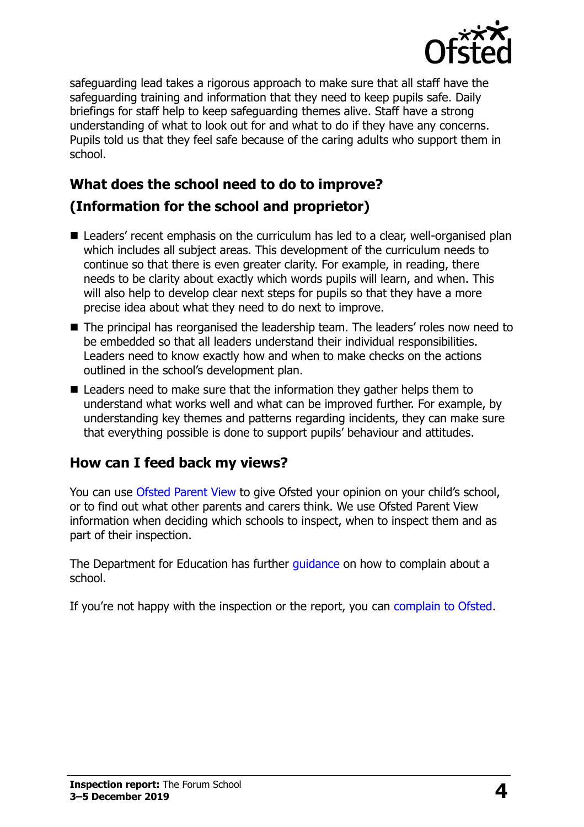

safeguarding lead takes a rigorous approach to make sure that all staff have the safeguarding training and information that they need to keep pupils safe. Daily briefings for staff help to keep safeguarding themes alive. Staff have a strong understanding of what to look out for and what to do if they have any concerns. Pupils told us that they feel safe because of the caring adults who support them in school.

# **What does the school need to do to improve?**

## **(Information for the school and proprietor)**

- Leaders' recent emphasis on the curriculum has led to a clear, well-organised plan which includes all subject areas. This development of the curriculum needs to continue so that there is even greater clarity. For example, in reading, there needs to be clarity about exactly which words pupils will learn, and when. This will also help to develop clear next steps for pupils so that they have a more precise idea about what they need to do next to improve.
- The principal has reorganised the leadership team. The leaders' roles now need to be embedded so that all leaders understand their individual responsibilities. Leaders need to know exactly how and when to make checks on the actions outlined in the school's development plan.
- Leaders need to make sure that the information they gather helps them to understand what works well and what can be improved further. For example, by understanding key themes and patterns regarding incidents, they can make sure that everything possible is done to support pupils' behaviour and attitudes.

## **How can I feed back my views?**

You can use [Ofsted Parent View](http://parentview.ofsted.gov.uk/) to give Ofsted your opinion on your child's school, or to find out what other parents and carers think. We use Ofsted Parent View information when deciding which schools to inspect, when to inspect them and as part of their inspection.

The Department for Education has further quidance on how to complain about a school.

If you're not happy with the inspection or the report, you can [complain to Ofsted.](http://www.gov.uk/complain-ofsted-report)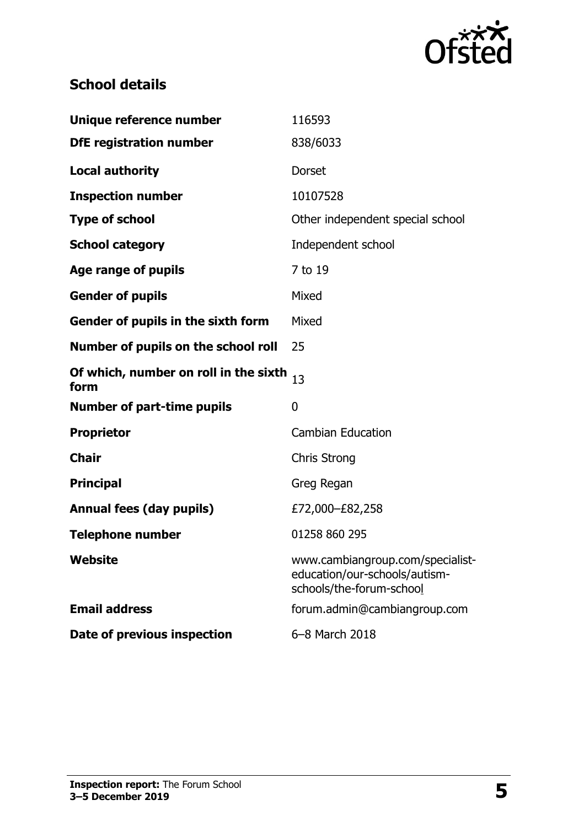

## **School details**

| Unique reference number                       | 116593                                                                                        |
|-----------------------------------------------|-----------------------------------------------------------------------------------------------|
| <b>DfE registration number</b>                | 838/6033                                                                                      |
| <b>Local authority</b>                        | Dorset                                                                                        |
| <b>Inspection number</b>                      | 10107528                                                                                      |
| <b>Type of school</b>                         | Other independent special school                                                              |
| <b>School category</b>                        | Independent school                                                                            |
| <b>Age range of pupils</b>                    | 7 to 19                                                                                       |
| <b>Gender of pupils</b>                       | Mixed                                                                                         |
| Gender of pupils in the sixth form            | Mixed                                                                                         |
| Number of pupils on the school roll           | 25                                                                                            |
| Of which, number on roll in the sixth<br>form | 13                                                                                            |
| <b>Number of part-time pupils</b>             | 0                                                                                             |
| <b>Proprietor</b>                             | <b>Cambian Education</b>                                                                      |
| <b>Chair</b>                                  | <b>Chris Strong</b>                                                                           |
| <b>Principal</b>                              | Greg Regan                                                                                    |
| <b>Annual fees (day pupils)</b>               | £72,000-£82,258                                                                               |
| <b>Telephone number</b>                       | 01258 860 295                                                                                 |
| <b>Website</b>                                | www.cambiangroup.com/specialist-<br>education/our-schools/autism-<br>schools/the-forum-school |
| <b>Email address</b>                          | forum.admin@cambiangroup.com                                                                  |
| Date of previous inspection                   | 6-8 March 2018                                                                                |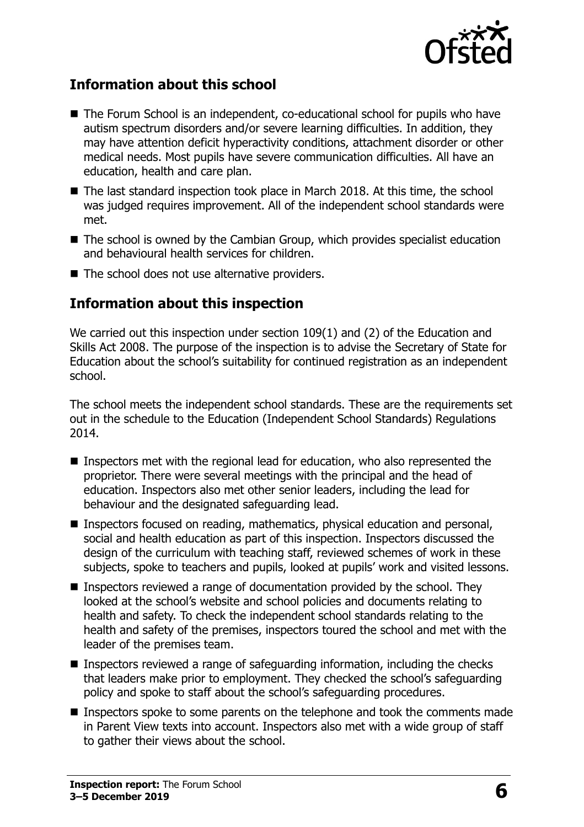

#### **Information about this school**

- The Forum School is an independent, co-educational school for pupils who have autism spectrum disorders and/or severe learning difficulties. In addition, they may have attention deficit hyperactivity conditions, attachment disorder or other medical needs. Most pupils have severe communication difficulties. All have an education, health and care plan.
- The last standard inspection took place in March 2018. At this time, the school was judged requires improvement. All of the independent school standards were met.
- The school is owned by the Cambian Group, which provides specialist education and behavioural health services for children.
- $\blacksquare$  The school does not use alternative providers.

#### **Information about this inspection**

We carried out this inspection under section 109(1) and (2) of the Education and Skills Act 2008. The purpose of the inspection is to advise the Secretary of State for Education about the school's suitability for continued registration as an independent school.

The school meets the independent school standards. These are the requirements set out in the schedule to the Education (Independent School Standards) Regulations 2014.

- Inspectors met with the regional lead for education, who also represented the proprietor. There were several meetings with the principal and the head of education. Inspectors also met other senior leaders, including the lead for behaviour and the designated safeguarding lead.
- Inspectors focused on reading, mathematics, physical education and personal, social and health education as part of this inspection. Inspectors discussed the design of the curriculum with teaching staff, reviewed schemes of work in these subjects, spoke to teachers and pupils, looked at pupils' work and visited lessons.
- **Inspectors reviewed a range of documentation provided by the school. They** looked at the school's website and school policies and documents relating to health and safety. To check the independent school standards relating to the health and safety of the premises, inspectors toured the school and met with the leader of the premises team.
- Inspectors reviewed a range of safeguarding information, including the checks that leaders make prior to employment. They checked the school's safeguarding policy and spoke to staff about the school's safeguarding procedures.
- **Inspectors spoke to some parents on the telephone and took the comments made** in Parent View texts into account. Inspectors also met with a wide group of staff to gather their views about the school.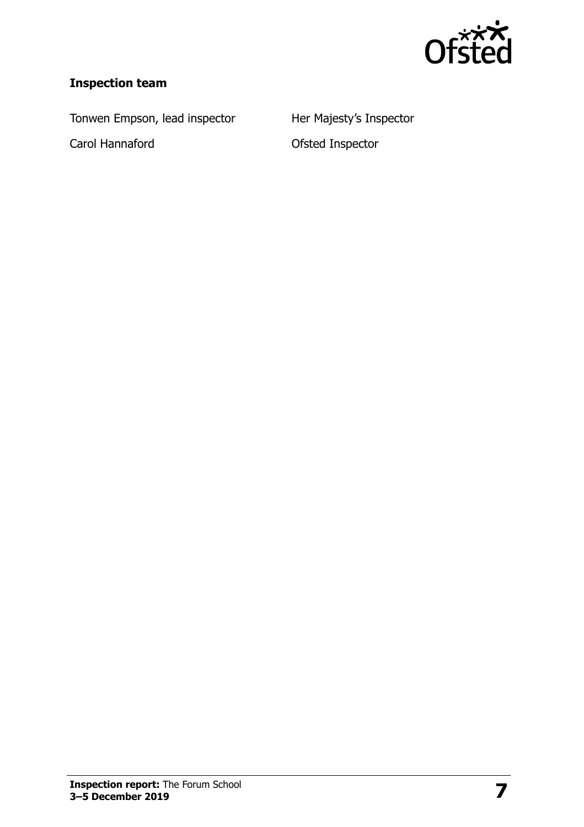

## **Inspection team**

Tonwen Empson, lead inspector Her Majesty's Inspector

Carol Hannaford **Carol Hannaford Carol Hannaford**